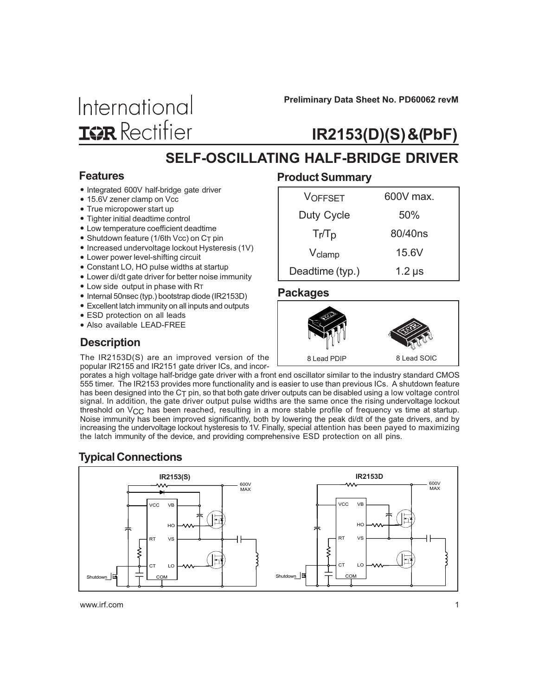International **IGR** Rectifier

Preliminary Data Sheet No. PD60062 revM

# IR2153(D)(S) &(PbF)

# SELF-OSCILLATING HALF-BRIDGE DRIVER

#### Features

- Integrated 600V half-bridge gate driver
- 15.6V zener clamp on Vcc
- True micropower start up
- Tighter initial deadtime control
- Low temperature coefficient deadtime
- Shutdown feature (1/6th Vcc) on  $C_T$  pin
- Increased undervoltage lockout Hysteresis (1V)
- Lower power level-shifting circuit
- Constant LO, HO pulse widths at startup
- Lower di/dt gate driver for better noise immunity
- Low side output in phase with RT
- Internal 50nsec (typ.) bootstrap diode (IR2153D)
- Excellent latch immunity on all inputs and outputs
- ESD protection on all leads
- Also available LEAD-FREE

### **Description**

The IR2153D(S) are an improved version of the popular IR2155 and IR2151 gate driver ICs, and incor-

#### Product Summary

| <b>VOFFSET</b>     | 600V max.   |
|--------------------|-------------|
| Duty Cycle         | 50%         |
| $Tr/T_{\rm D}$     | 80/40ns     |
| V <sub>clamp</sub> | 15.6V       |
| Deadtime (typ.)    | $1.2 \mu s$ |

#### Packages



porates a high voltage half-bridge gate driver with a front end oscillator similar to the industry standard CMOS 555 timer. The IR2153 provides more functionality and is easier to use than previous ICs. A shutdown feature has been designed into the C<sub>T</sub> pin, so that both gate driver outputs can be disabled using a low voltage control signal. In addition, the gate driver output pulse widths are the same once the rising undervoltage lockout threshold on VCC has been reached, resulting in a more stable profile of frequency vs time at startup. Noise immunity has been improved significantly, both by lowering the peak di/dt of the gate drivers, and by increasing the undervoltage lockout hysteresis to 1V. Finally, special attention has been payed to maximizing the latch immunity of the device, and providing comprehensive ESD protection on all pins.

### Typical Connections

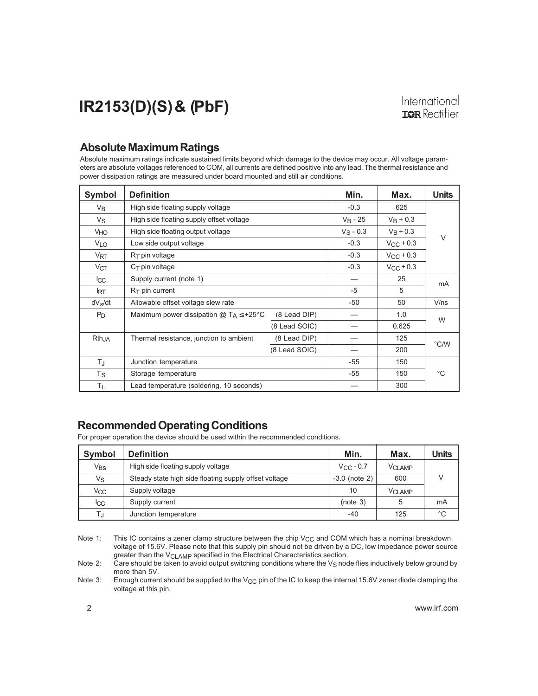#### Absolute Maximum Ratings

Absolute maximum ratings indicate sustained limits beyond which damage to the device may occur. All voltage parameters are absolute voltages referenced to COM, all currents are defined positive into any lead. The thermal resistance and power dissipation ratings are measured under board mounted and still air conditions.

| <b>Symbol</b>   | <b>Definition</b>                                  | Min.          | Max.        | <b>Units</b>       |      |
|-----------------|----------------------------------------------------|---------------|-------------|--------------------|------|
| $V_{B}$         | High side floating supply voltage                  |               | $-0.3$      | 625                |      |
| Vs              | High side floating supply offset voltage           |               | $V_B - 25$  | $V_B + 0.3$        |      |
| VHO             | High side floating output voltage                  |               | $V_S - 0.3$ | $V_B + 0.3$        |      |
| <b>VLO</b>      | Low side output voltage                            |               | $-0.3$      | $V_{CC}$ + 0.3     | V    |
| $V_{\sf RT}$    | $R_T$ pin voltage                                  |               | $-0.3$      | $V_{\rm CC}$ + 0.3 |      |
| $V_{CT}$        | $C_T$ pin voltage                                  |               | $-0.3$      | $V_{CC}$ + 0.3     |      |
| $_{\rm lcc}$    | Supply current (note 1)                            |               |             | 25                 | mA   |
| <b>IRT</b>      | $RT$ pin current                                   |               | $-5$        | 5                  |      |
| $dV_{\rm s}/dt$ | Allowable offset voltage slew rate                 |               | $-50$       | 50                 | V/ns |
| $P_D$           | Maximum power dissipation $@T_A \leq +25^{\circ}C$ | (8 Lead DIP)  |             | 1.0                | W    |
|                 |                                                    | (8 Lead SOIC) |             | 0.625              |      |
| RthJA           | Thermal resistance, junction to ambient            | (8 Lead DIP)  |             | 125                | °C/W |
|                 |                                                    | (8 Lead SOIC) |             | 200                |      |
| $T_{\rm J}$     | Junction temperature                               |               | -55         | 150                |      |
| Τs              | Storage temperature                                | -55           | 150         | $^{\circ}C$        |      |
| ΤL              | Lead temperature (soldering, 10 seconds)           |               | 300         |                    |      |

### Recommended Operating Conditions

For proper operation the device should be used within the recommended conditions.

| <b>Symbol</b> | <b>Definition</b>                                     | Min.               | Max.          | Units        |
|---------------|-------------------------------------------------------|--------------------|---------------|--------------|
| $V_{BS}$      | High side floating supply voltage                     | $V_{\rm CC}$ - 0.7 | <b>VCLAMP</b> |              |
| Vs            | Steady state high side floating supply offset voltage | $-3.0$ (note 2)    | 600           |              |
| Vcc           | Supply voltage                                        | 10                 | <b>VCLAMP</b> |              |
| <b>ICC</b>    | Supply current                                        | (note 3)           |               | mA           |
| TJ            | Junction temperature                                  | $-40$              | 125           | $^{\circ}$ C |

Note 1: This IC contains a zener clamp structure between the chip  $V_{CC}$  and COM which has a nominal breakdown voltage of 15.6V. Please note that this supply pin should not be driven by a DC, low impedance power source greater than the V<sub>CLAMP</sub> specified in the Electrical Characteristics section.

Note 2: Care should be taken to avoid output switching conditions where the  $V_S$  node flies inductively below ground by more than 5V.

Note 3: Enough current should be supplied to the V<sub>CC</sub> pin of the IC to keep the internal 15.6V zener diode clamping the voltage at this pin.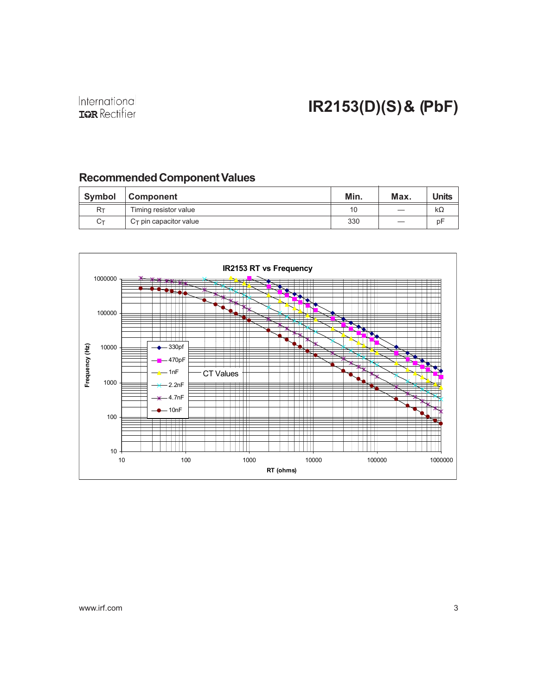### Recommended Component Values

| Symbol | <b>Component</b>          | Min. | Max. | <b>Units</b> |
|--------|---------------------------|------|------|--------------|
| Rт     | Timing resistor value     | 10   |      | kΩ           |
| Ст     | $C_T$ pin capacitor value | 330  |      | рF           |

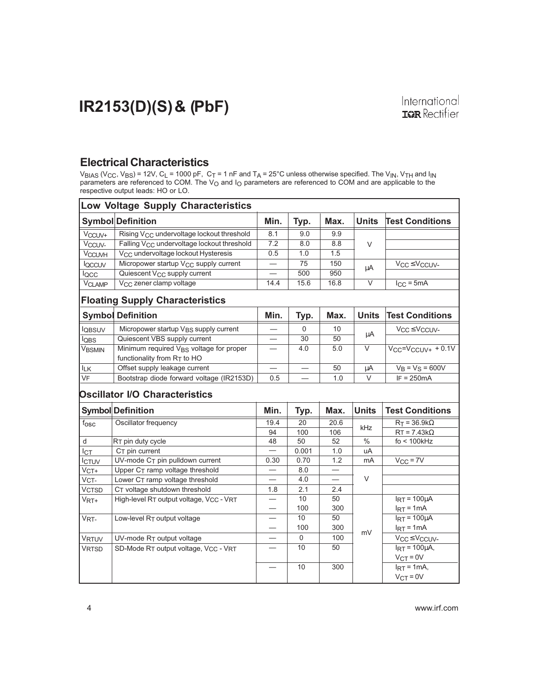### Electrical Characteristics

 $\rm{V_{BIAS}}$  (V $\rm{_{CC}}$ , V $\rm{_{BS}}$ ) = 12V, C $\rm{_{L}}$  = 1000 pF, C $\rm{\tau}$  = 1 nF and T $\rm{_{A}}$  = 25°C unless otherwise specified. The V $\rm{_{N}}$ , V $\rm{_{TH}}$  and I $\rm{_{N}}$ parameters are referenced to COM. The V<sub>O</sub> and I<sub>O</sub> parameters are referenced to COM and are applicable to the respective output leads: HO or LO.

| <b>Low Voltage Supply Characteristics</b> |                                                                                       |      |             |           |                   |                                                         |
|-------------------------------------------|---------------------------------------------------------------------------------------|------|-------------|-----------|-------------------|---------------------------------------------------------|
|                                           | <b>Symbol Definition</b>                                                              | Min. | Typ.        | Max.      | <b>Units</b>      | <b>Test Conditions</b>                                  |
| V <sub>CCUV+</sub>                        | Rising V <sub>CC</sub> undervoltage lockout threshold                                 | 8.1  | 9.0         | 9.9       |                   |                                                         |
| Vccuv-                                    | Falling V <sub>CC</sub> undervoltage lockout threshold                                | 7.2  | 8.0         | 8.8       | $\vee$            |                                                         |
| <b>VCCUVH</b>                             | V <sub>CC</sub> undervoltage lockout Hysteresis                                       | 0.5  | 1.0         | 1.5       |                   |                                                         |
| loccuv                                    | Micropower startup V <sub>CC</sub> supply current                                     |      | 75          | 150       | μA                | V <sub>CC</sub> ≤ V <sub>CCUV</sub> -                   |
| locc                                      | Quiescent V <sub>CC</sub> supply current                                              |      | 500         | 950       |                   |                                                         |
| <b>VCLAMP</b>                             | V <sub>CC</sub> zener clamp voltage                                                   | 14.4 | 15.6        | 16.8      | V                 | $I_{CC} = 5mA$                                          |
|                                           | <b>Floating Supply Characteristics</b>                                                |      |             |           |                   |                                                         |
|                                           | <b>Symbol Definition</b>                                                              | Min. | Typ.        | Max.      | <b>Units</b>      | <b>Test Conditions</b>                                  |
| lgbsuv                                    | Micropower startup V <sub>BS</sub> supply current                                     |      | 0           | 10        | μA                | V <sub>CC</sub> ≤ V <sub>CCUV</sub> -                   |
| lobs                                      | Quiescent VBS supply current                                                          |      | 30          | 50        |                   |                                                         |
| VBSMIN                                    | Minimum required V <sub>BS</sub> voltage for proper<br>functionality from $R_T$ to HO |      | 4.0         | 5.0       | $\overline{\vee}$ | $V_{CC} = V_{CCUV+} + 0.1V$                             |
| $I_{LK}$                                  | Offset supply leakage current                                                         |      |             | 50        | μA                | $V_B = V_S = 600V$                                      |
| VF                                        | Bootstrap diode forward voltage (IR2153D)                                             | 0.5  |             | 1.0       | $\vee$            | $IF = 250mA$                                            |
|                                           | <b>Oscillator I/O Characteristics</b>                                                 |      |             |           |                   |                                                         |
|                                           | <b>Symbol Definition</b>                                                              | Min. | Typ.        | Max.      | <b>Units</b>      | <b>Test Conditions</b>                                  |
| $f_{\rm OSC}$                             | Oscillator frequency                                                                  | 19.4 | 20          | 20.6      | kHz               | $R_T = 36.9k\Omega$                                     |
|                                           |                                                                                       | 94   | 100         | 106       |                   | $RT = 7.43k\Omega$                                      |
| ${\sf d}$                                 | RT pin duty cycle                                                                     | 48   | 50          | 52        | $\frac{0}{0}$     | fo < 100kHz                                             |
| Iст                                       | $CT$ pin current                                                                      |      | 0.001       | 1.0       | uA                |                                                         |
| ICTUV                                     | UV-mode CT pin pulldown current                                                       | 0.30 | 0.70        | 1.2       | mA                | $V_{CC} = 7V$                                           |
| $VCT+$                                    | Upper CT ramp voltage threshold                                                       |      | 8.0         |           |                   |                                                         |
| VCT-                                      | Lower CT ramp voltage threshold                                                       |      | 4.0         |           | V                 |                                                         |
| <b>VCTSD</b>                              | CT voltage shutdown threshold                                                         | 1.8  | 2.1         | 2.4       |                   |                                                         |
| V <sub>RT+</sub>                          | High-level RT output voltage, VCC - VRT                                               |      | 10<br>100   | 50<br>300 |                   | $IRT = 100 \mu A$                                       |
|                                           |                                                                                       |      | 10          | 50        |                   | $IRT = 1mA$<br>$I_{RT}$ = 100 $\mu$ A                   |
| VRT-                                      | Low-level RT output voltage                                                           |      | 100         | 300       |                   | $I_{RT} = 1mA$                                          |
|                                           |                                                                                       |      | $\mathbf 0$ | 100       | mV                |                                                         |
| <b>VRTUV</b>                              | UV-mode RT output voltage                                                             |      | 10          | 50        |                   | V <sub>CC</sub> ≤ V <sub>CCUV</sub> -<br>$IRT = 100µA,$ |
| VRTSD                                     | SD-Mode RT output voltage, VCC - VRT                                                  |      |             |           |                   | $VCT = 0V$                                              |
|                                           |                                                                                       |      | 10          | 300       |                   | $IRT = 1mA$                                             |
|                                           |                                                                                       |      |             |           |                   | $VCT = 0V$                                              |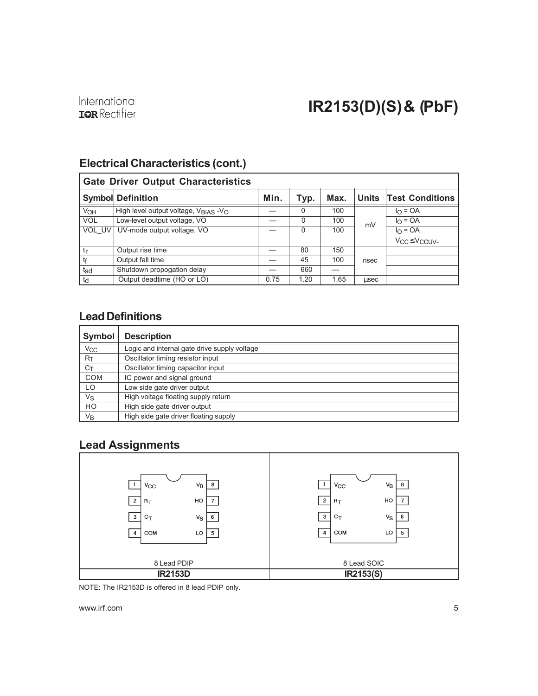# Electrical Characteristics (cont.)

| <b>Gate Driver Output Characteristics</b> |                                                           |      |      |      |      |                                      |
|-------------------------------------------|-----------------------------------------------------------|------|------|------|------|--------------------------------------|
|                                           | <b>Symbol Definition</b>                                  | Min. | Typ. | Max. |      | Units Test Conditions                |
| VOH                                       | High level output voltage, $V_{\text{RIAS}} - V_{\Omega}$ |      | 0    | 100  |      | $I_{\Omega}$ = OA                    |
| <b>VOL</b>                                | Low-level output voltage, VO                              |      | 0    | 100  | mV   | $I_{\Omega}$ = OA                    |
| VOL UV                                    | UV-mode output voltage, VO                                |      | 0    | 100  |      | $IO = OA$                            |
|                                           |                                                           |      |      |      |      | V <sub>CC</sub> ≤V <sub>CCUV</sub> - |
| $t_{\mathsf{r}}$                          | Output rise time                                          |      | 80   | 150  |      |                                      |
| tf                                        | Output fall time                                          |      | 45   | 100  | nsec |                                      |
| t <sub>sd</sub>                           | Shutdown propogation delay                                |      | 660  |      |      |                                      |
| td                                        | Output deadtime (HO or LO)                                | 0.75 | 1.20 | 1.65 | usec |                                      |

### Lead Definitions

| Symbol           | <b>Description</b>                           |
|------------------|----------------------------------------------|
| $V_{CC}$         | Logic and internal gate drive supply voltage |
| $R_{\mathsf{T}}$ | Oscillator timing resistor input             |
| $C_T$            | Oscillator timing capacitor input            |
| <b>COM</b>       | IC power and signal ground                   |
| LO               | Low side gate driver output                  |
| Vs               | High voltage floating supply return          |
| HO               | High side gate driver output                 |
| Vв               | High side gate driver floating supply        |

### Lead Assignments



NOTE: The IR2153D is offered in 8 lead PDIP only.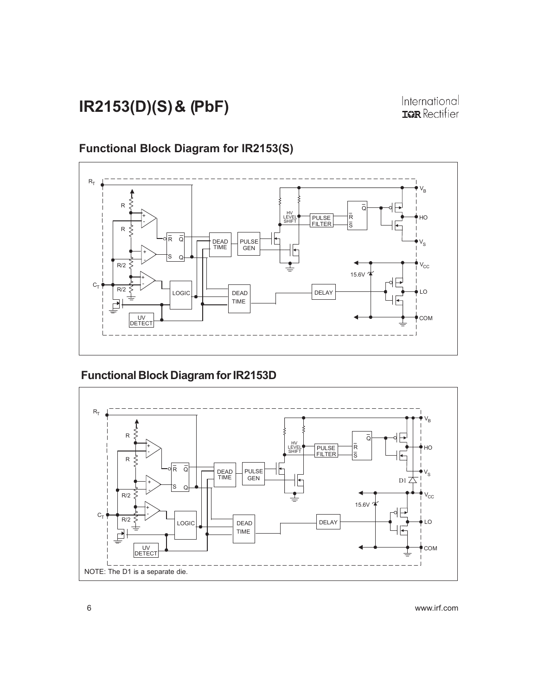# Functional Block Diagram for IR2153(S)



### Functional Block Diagram for IR2153D

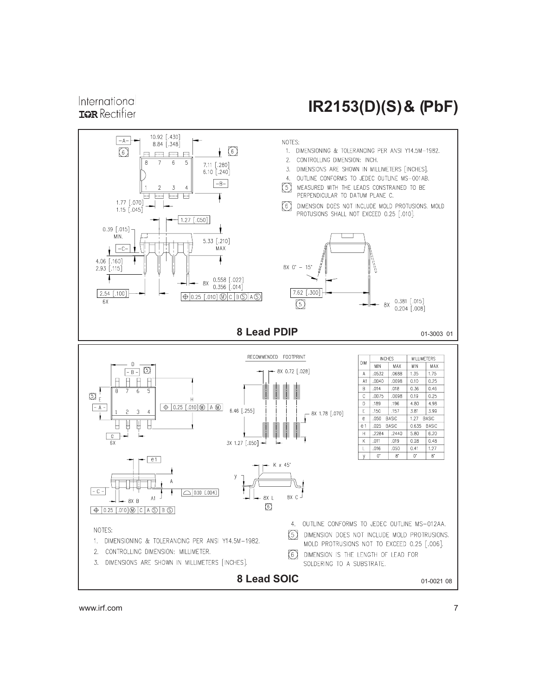### International **IGR** Rectifier

# IR2153(D)(S) & (PbF)

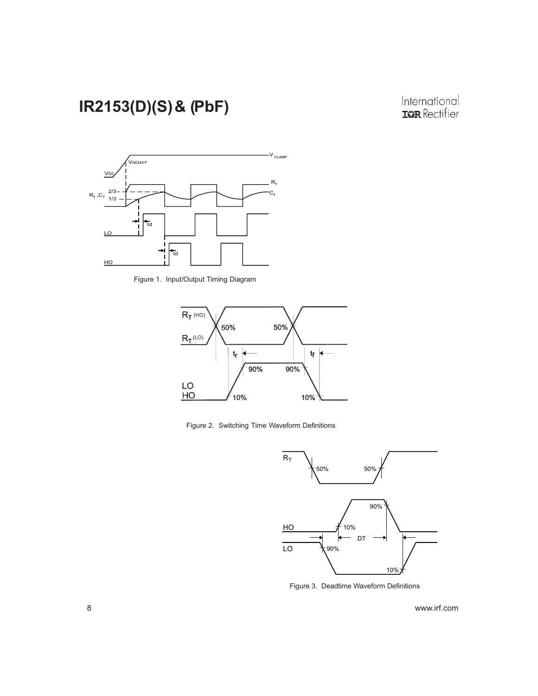# International<br>**IGR** Rectifier



Figure 1. Input/Output Timing Diagram



Figure 2. Switching Time Waveform Definitions



Figure 3. Deadtime Waveform Definitions